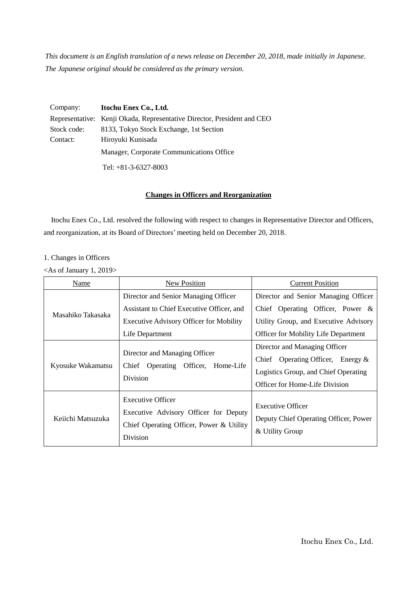*This document is an English translation of a news release on December 20, 2018, made initially in Japanese. The Japanese original should be considered as the primary version.*

| Company:    | Itochu Enex Co., Ltd.                                                   |  |
|-------------|-------------------------------------------------------------------------|--|
|             | Representative: Kenji Okada, Representative Director, President and CEO |  |
| Stock code: | 8133, Tokyo Stock Exchange, 1st Section                                 |  |
| Contact:    | Hiroyuki Kunisada                                                       |  |
|             | Manager, Corporate Communications Office                                |  |
|             | Tel: $+81-3-6327-8003$                                                  |  |

# **Changes in Officers and Reorganization**

Itochu Enex Co., Ltd. resolved the following with respect to changes in Representative Director and Officers, and reorganization, at its Board of Directors' meeting held on December 20, 2018.

#### 1. Changes in Officers

<As of January 1, 2019>

| Name              | New Position                                                                                                              | <b>Current Position</b>                                                                                                                                |
|-------------------|---------------------------------------------------------------------------------------------------------------------------|--------------------------------------------------------------------------------------------------------------------------------------------------------|
| Masahiko Takasaka | Director and Senior Managing Officer                                                                                      | Director and Senior Managing Officer                                                                                                                   |
|                   | Assistant to Chief Executive Officer, and                                                                                 | Chief Operating Officer, Power $\&$                                                                                                                    |
|                   | <b>Executive Advisory Officer for Mobility</b>                                                                            | Utility Group, and Executive Advisory                                                                                                                  |
|                   | Life Department                                                                                                           | <b>Officer for Mobility Life Department</b>                                                                                                            |
| Kyosuke Wakamatsu | Director and Managing Officer<br>Chief Operating Officer,<br>Home-Life<br>Division                                        | Director and Managing Officer<br>Chief Operating Officer, Energy $\&$<br>Logistics Group, and Chief Operating<br><b>Officer for Home-Life Division</b> |
| Keiichi Matsuzuka | <b>Executive Officer</b><br>Executive Advisory Officer for Deputy<br>Chief Operating Officer, Power & Utility<br>Division | <b>Executive Officer</b><br>Deputy Chief Operating Officer, Power<br>& Utility Group                                                                   |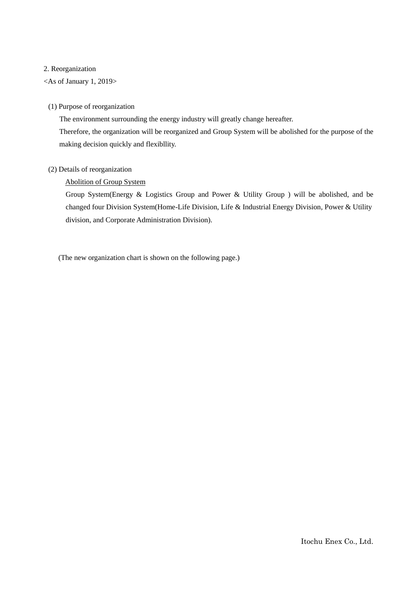#### 2. Reorganization

<As of January 1, 2019>

#### (1) Purpose of reorganization

The environment surrounding the energy industry will greatly change hereafter. Therefore, the organization will be reorganized and Group System will be abolished for the purpose of the making decision quickly and flexibllity.

## (2) Details of reorganization

### Abolition of Group System

Group System(Energy & Logistics Group and Power & Utility Group ) will be abolished, and be changed four Division System(Home-Life Division, Life & Industrial Energy Division, Power & Utility division, and Corporate Administration Division).

(The new organization chart is shown on the following page.)